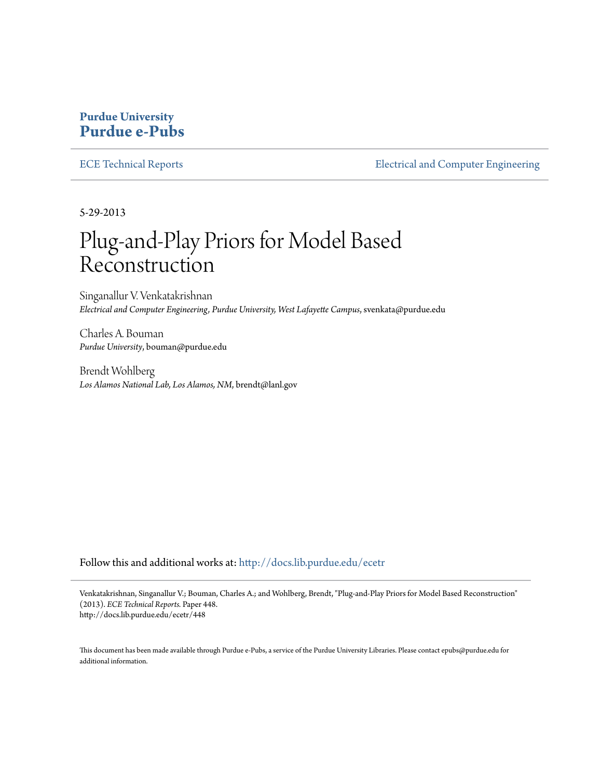### **Purdue University [Purdue e-Pubs](http://docs.lib.purdue.edu?utm_source=docs.lib.purdue.edu%2Fecetr%2F448&utm_medium=PDF&utm_campaign=PDFCoverPages)**

[ECE Technical Reports](http://docs.lib.purdue.edu/ecetr?utm_source=docs.lib.purdue.edu%2Fecetr%2F448&utm_medium=PDF&utm_campaign=PDFCoverPages) **[Electrical and Computer Engineering](http://docs.lib.purdue.edu/ece?utm_source=docs.lib.purdue.edu%2Fecetr%2F448&utm_medium=PDF&utm_campaign=PDFCoverPages)** 

5-29-2013

## Plug-and-Play Priors for Model Based Reconstruction

Singanallur V. Venkatakrishnan *Electrical and Computer Engineering, Purdue University, West Lafayette Campus*, svenkata@purdue.edu

Charles A. Bouman *Purdue University*, bouman@purdue.edu

Brendt Wohlberg *Los Alamos National Lab, Los Alamos, NM*, brendt@lanl.gov

Follow this and additional works at: [http://docs.lib.purdue.edu/ecetr](http://docs.lib.purdue.edu/ecetr?utm_source=docs.lib.purdue.edu%2Fecetr%2F448&utm_medium=PDF&utm_campaign=PDFCoverPages)

Venkatakrishnan, Singanallur V.; Bouman, Charles A.; and Wohlberg, Brendt, "Plug-and-Play Priors for Model Based Reconstruction" (2013). *ECE Technical Reports.* Paper 448. http://docs.lib.purdue.edu/ecetr/448

This document has been made available through Purdue e-Pubs, a service of the Purdue University Libraries. Please contact epubs@purdue.edu for additional information.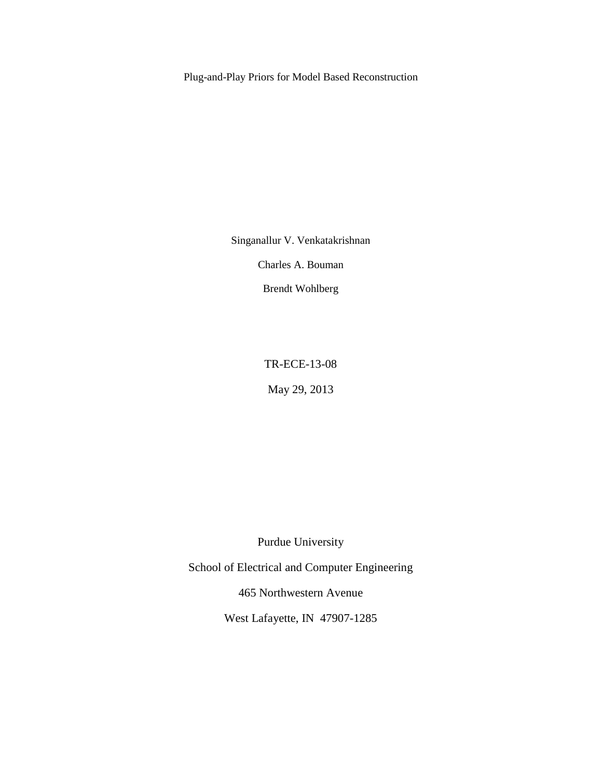Plug-and-Play Priors for Model Based Reconstruction

Singanallur V. Venkatakrishnan

Charles A. Bouman

Brendt Wohlberg

TR-ECE-13-08

May 29, 2013

Purdue University

School of Electrical and Computer Engineering

465 Northwestern Avenue

West Lafayette, IN 47907-1285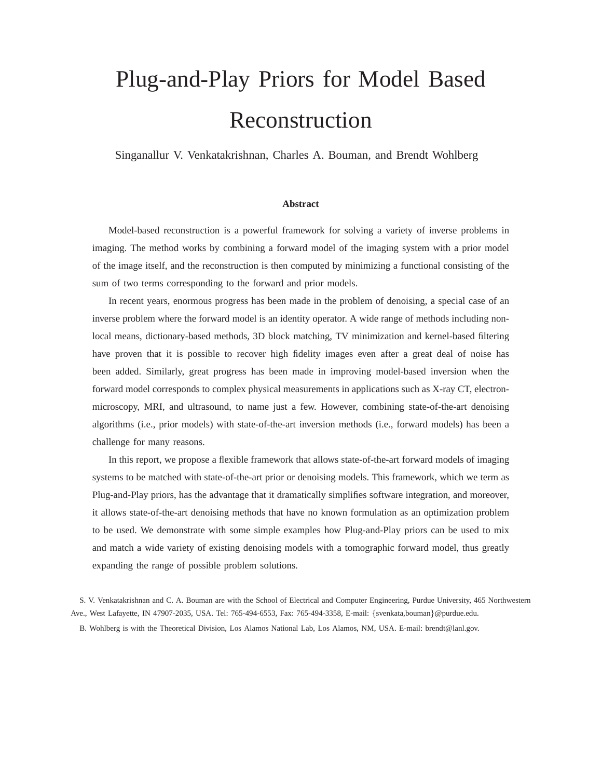# Plug-and-Play Priors for Model Based Reconstruction

Singanallur V. Venkatakrishnan, Charles A. Bouman, and Brendt Wohlberg

#### **Abstract**

Model-based reconstruction is a powerful framework for solving a variety of inverse problems in imaging. The method works by combining a forward model of the imaging system with a prior model of the image itself, and the reconstruction is then computed by minimizing a functional consisting of the sum of two terms corresponding to the forward and prior models.

In recent years, enormous progress has been made in the problem of denoising, a special case of an inverse problem where the forward model is an identity operator. A wide range of methods including nonlocal means, dictionary-based methods, 3D block matching, TV minimization and kernel-based filtering have proven that it is possible to recover high fidelity images even after a great deal of noise has been added. Similarly, great progress has been made in improving model-based inversion when the forward model corresponds to complex physical measurements in applications such as X-ray CT, electronmicroscopy, MRI, and ultrasound, to name just a few. However, combining state-of-the-art denoising algorithms (i.e., prior models) with state-of-the-art inversion methods (i.e., forward models) has been a challenge for many reasons.

In this report, we propose a flexible framework that allows state-of-the-art forward models of imaging systems to be matched with state-of-the-art prior or denoising models. This framework, which we term as Plug-and-Play priors, has the advantage that it dramatically simplifies software integration, and moreover, it allows state-of-the-art denoising methods that have no known formulation as an optimization problem to be used. We demonstrate with some simple examples how Plug-and-Play priors can be used to mix and match a wide variety of existing denoising models with a tomographic forward model, thus greatly expanding the range of possible problem solutions.

S. V. Venkatakrishnan and C. A. Bouman are with the School of Electrical and Computer Engineering, Purdue University, 465 Northwestern Ave., West Lafayette, IN 47907-2035, USA. Tel: 765-494-6553, Fax: 765-494-3358, E-mail: {svenkata,bouman}@purdue.edu.

B. Wohlberg is with the Theoretical Division, Los Alamos National Lab, Los Alamos, NM, USA. E-mail: brendt@lanl.gov.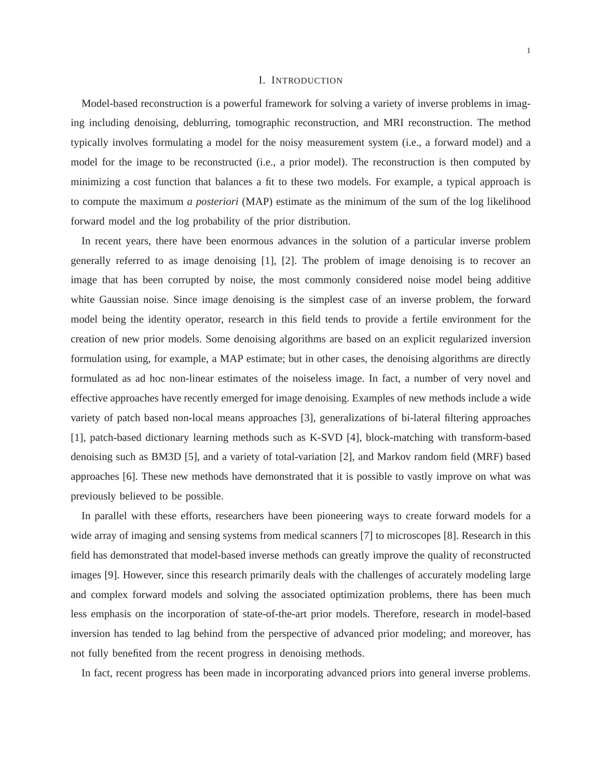#### I. INTRODUCTION

Model-based reconstruction is a powerful framework for solving a variety of inverse problems in imaging including denoising, deblurring, tomographic reconstruction, and MRI reconstruction. The method typically involves formulating a model for the noisy measurement system (i.e., a forward model) and a model for the image to be reconstructed (i.e., a prior model). The reconstruction is then computed by minimizing a cost function that balances a fit to these two models. For example, a typical approach is to compute the maximum *a posteriori* (MAP) estimate as the minimum of the sum of the log likelihood forward model and the log probability of the prior distribution.

In recent years, there have been enormous advances in the solution of a particular inverse problem generally referred to as image denoising [1], [2]. The problem of image denoising is to recover an image that has been corrupted by noise, the most commonly considered noise model being additive white Gaussian noise. Since image denoising is the simplest case of an inverse problem, the forward model being the identity operator, research in this field tends to provide a fertile environment for the creation of new prior models. Some denoising algorithms are based on an explicit regularized inversion formulation using, for example, a MAP estimate; but in other cases, the denoising algorithms are directly formulated as ad hoc non-linear estimates of the noiseless image. In fact, a number of very novel and effective approaches have recently emerged for image denoising. Examples of new methods include a wide variety of patch based non-local means approaches [3], generalizations of bi-lateral filtering approaches [1], patch-based dictionary learning methods such as K-SVD [4], block-matching with transform-based denoising such as BM3D [5], and a variety of total-variation [2], and Markov random field (MRF) based approaches [6]. These new methods have demonstrated that it is possible to vastly improve on what was previously believed to be possible.

In parallel with these efforts, researchers have been pioneering ways to create forward models for a wide array of imaging and sensing systems from medical scanners [7] to microscopes [8]. Research in this field has demonstrated that model-based inverse methods can greatly improve the quality of reconstructed images [9]. However, since this research primarily deals with the challenges of accurately modeling large and complex forward models and solving the associated optimization problems, there has been much less emphasis on the incorporation of state-of-the-art prior models. Therefore, research in model-based inversion has tended to lag behind from the perspective of advanced prior modeling; and moreover, has not fully benefited from the recent progress in denoising methods.

In fact, recent progress has been made in incorporating advanced priors into general inverse problems.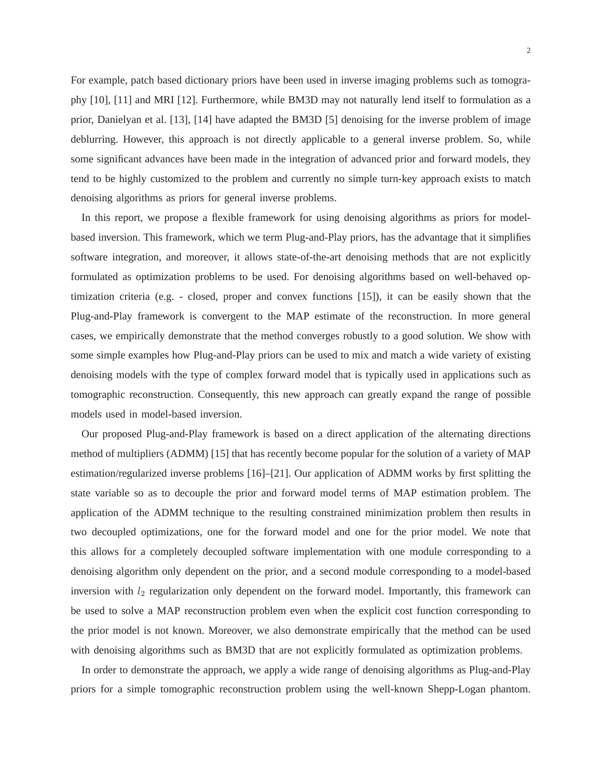For example, patch based dictionary priors have been used in inverse imaging problems such as tomography [10], [11] and MRI [12]. Furthermore, while BM3D may not naturally lend itself to formulation as a prior, Danielyan et al. [13], [14] have adapted the BM3D [5] denoising for the inverse problem of image deblurring. However, this approach is not directly applicable to a general inverse problem. So, while some significant advances have been made in the integration of advanced prior and forward models, they tend to be highly customized to the problem and currently no simple turn-key approach exists to match denoising algorithms as priors for general inverse problems.

In this report, we propose a flexible framework for using denoising algorithms as priors for modelbased inversion. This framework, which we term Plug-and-Play priors, has the advantage that it simplifies software integration, and moreover, it allows state-of-the-art denoising methods that are not explicitly formulated as optimization problems to be used. For denoising algorithms based on well-behaved optimization criteria (e.g. - closed, proper and convex functions [15]), it can be easily shown that the Plug-and-Play framework is convergent to the MAP estimate of the reconstruction. In more general cases, we empirically demonstrate that the method converges robustly to a good solution. We show with some simple examples how Plug-and-Play priors can be used to mix and match a wide variety of existing denoising models with the type of complex forward model that is typically used in applications such as tomographic reconstruction. Consequently, this new approach can greatly expand the range of possible models used in model-based inversion.

Our proposed Plug-and-Play framework is based on a direct application of the alternating directions method of multipliers (ADMM) [15] that has recently become popular for the solution of a variety of MAP estimation/regularized inverse problems [16]–[21]. Our application of ADMM works by first splitting the state variable so as to decouple the prior and forward model terms of MAP estimation problem. The application of the ADMM technique to the resulting constrained minimization problem then results in two decoupled optimizations, one for the forward model and one for the prior model. We note that this allows for a completely decoupled software implementation with one module corresponding to a denoising algorithm only dependent on the prior, and a second module corresponding to a model-based inversion with  $l_2$  regularization only dependent on the forward model. Importantly, this framework can be used to solve a MAP reconstruction problem even when the explicit cost function corresponding to the prior model is not known. Moreover, we also demonstrate empirically that the method can be used with denoising algorithms such as BM3D that are not explicitly formulated as optimization problems.

In order to demonstrate the approach, we apply a wide range of denoising algorithms as Plug-and-Play priors for a simple tomographic reconstruction problem using the well-known Shepp-Logan phantom.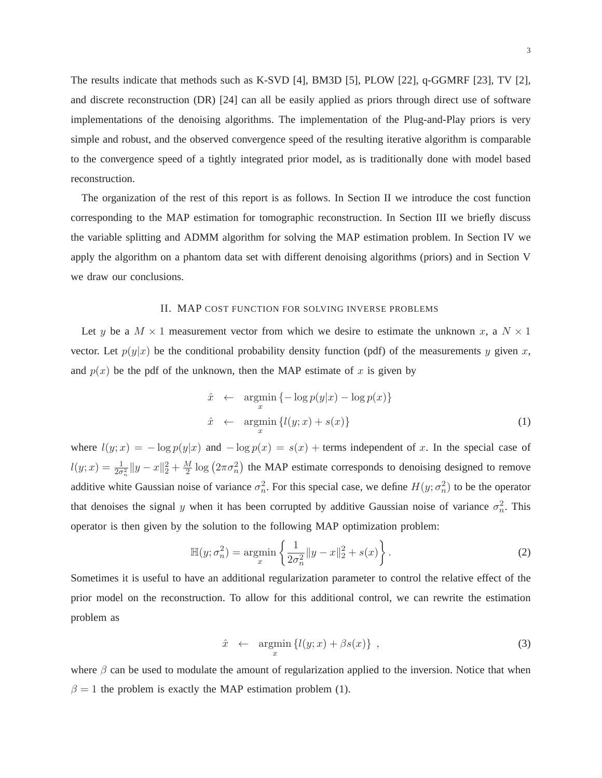The results indicate that methods such as K-SVD [4], BM3D [5], PLOW [22], q-GGMRF [23], TV [2], and discrete reconstruction (DR) [24] can all be easily applied as priors through direct use of software implementations of the denoising algorithms. The implementation of the Plug-and-Play priors is very simple and robust, and the observed convergence speed of the resulting iterative algorithm is comparable to the convergence speed of a tightly integrated prior model, as is traditionally done with model based reconstruction.

The organization of the rest of this report is as follows. In Section II we introduce the cost function corresponding to the MAP estimation for tomographic reconstruction. In Section III we briefly discuss the variable splitting and ADMM algorithm for solving the MAP estimation problem. In Section IV we apply the algorithm on a phantom data set with different denoising algorithms (priors) and in Section V we draw our conclusions.

#### II. MAP COST FUNCTION FOR SOLVING INVERSE PROBLEMS

Let y be a  $M \times 1$  measurement vector from which we desire to estimate the unknown x, a  $N \times 1$ vector. Let  $p(y|x)$  be the conditional probability density function (pdf) of the measurements y given x, and  $p(x)$  be the pdf of the unknown, then the MAP estimate of x is given by

$$
\hat{x} \leftarrow \underset{x}{\text{argmin}} \{-\log p(y|x) - \log p(x)\}\
$$
\n
$$
\hat{x} \leftarrow \underset{x}{\text{argmin}} \{l(y; x) + s(x)\}\
$$
\n(1)

where  $l(y; x) = -\log p(y|x)$  and  $-\log p(x) = s(x) +$  terms independent of x. In the special case of  $l(y; x) = \frac{1}{2\sigma_n^2} ||y - x||_2^2 + \frac{M}{2} \log (2\pi\sigma_n^2)$  the MAP estimate corresponds to denoising designed to remove additive white Gaussian noise of variance  $\sigma_n^2$  $\frac{2}{n}$ . For this special case, we define  $H(y; \sigma_n^2)$  $\binom{2}{n}$  to be the operator that denoises the signal y when it has been corrupted by additive Gaussian noise of variance  $\sigma_n^2$  $\frac{2}{n}$ . This operator is then given by the solution to the following MAP optimization problem:

$$
\mathbb{H}(y; \sigma_n^2) = \underset{x}{\text{argmin}} \left\{ \frac{1}{2\sigma_n^2} \|y - x\|_2^2 + s(x) \right\}.
$$
 (2)

Sometimes it is useful to have an additional regularization parameter to control the relative effect of the prior model on the reconstruction. To allow for this additional control, we can rewrite the estimation problem as

$$
\hat{x} \leftarrow \underset{x}{\text{argmin}} \left\{ l(y; x) + \beta s(x) \right\} , \tag{3}
$$

where  $\beta$  can be used to modulate the amount of regularization applied to the inversion. Notice that when  $\beta = 1$  the problem is exactly the MAP estimation problem (1).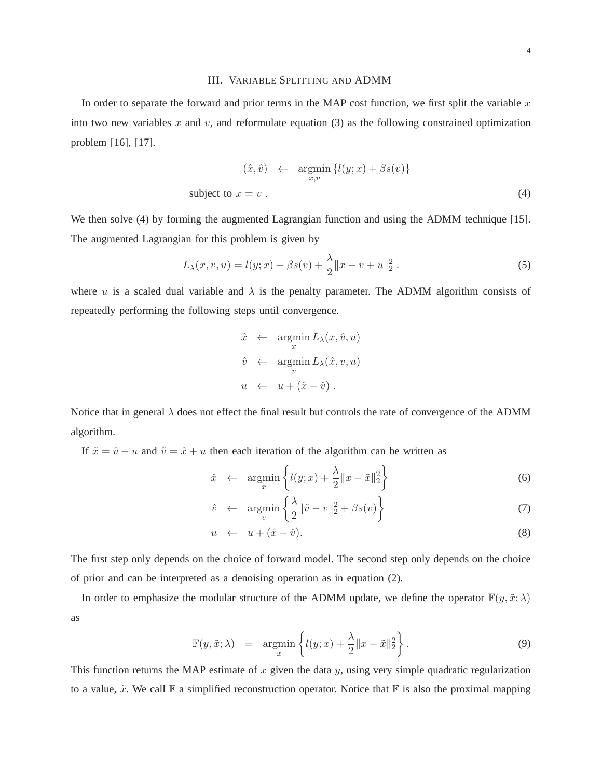#### III. VARIABLE SPLITTING AND ADMM

In order to separate the forward and prior terms in the MAP cost function, we first split the variable  $x$ into two new variables  $x$  and  $v$ , and reformulate equation (3) as the following constrained optimization problem [16], [17].

$$
(\hat{x}, \hat{v}) \leftarrow \underset{x,v}{\text{argmin}} \{l(y; x) + \beta s(v)\}
$$
  
subject to  $x = v$ . (4)

We then solve (4) by forming the augmented Lagrangian function and using the ADMM technique [15]. The augmented Lagrangian for this problem is given by

$$
L_{\lambda}(x, v, u) = l(y; x) + \beta s(v) + \frac{\lambda}{2} ||x - v + u||_2^2.
$$
 (5)

where u is a scaled dual variable and  $\lambda$  is the penalty parameter. The ADMM algorithm consists of repeatedly performing the following steps until convergence.

$$
\hat{x} \leftarrow \underset{x}{\operatorname{argmin}} L_{\lambda}(x, \hat{v}, u)
$$

$$
\hat{v} \leftarrow \underset{v}{\operatorname{argmin}} L_{\lambda}(\hat{x}, v, u)
$$

$$
u \leftarrow u + (\hat{x} - \hat{v}).
$$

Notice that in general  $\lambda$  does not effect the final result but controls the rate of convergence of the ADMM algorithm.

If  $\tilde{x} = \hat{v} - u$  and  $\tilde{v} = \hat{x} + u$  then each iteration of the algorithm can be written as

$$
\hat{x} \leftarrow \underset{x}{\text{argmin}} \left\{ l(y; x) + \frac{\lambda}{2} \|x - \tilde{x}\|_2^2 \right\} \tag{6}
$$

$$
\hat{v} \leftarrow \underset{v}{\text{argmin}} \left\{ \frac{\lambda}{2} ||\tilde{v} - v||_2^2 + \beta s(v) \right\} \tag{7}
$$

$$
u \leftarrow u + (\hat{x} - \hat{v}). \tag{8}
$$

The first step only depends on the choice of forward model. The second step only depends on the choice of prior and can be interpreted as a denoising operation as in equation (2).

In order to emphasize the modular structure of the ADMM update, we define the operator  $\mathbb{F}(y, \tilde{x}; \lambda)$ as

$$
\mathbb{F}(y,\tilde{x};\lambda) = \underset{x}{\operatorname{argmin}} \left\{ l(y;x) + \frac{\lambda}{2} ||x - \tilde{x}||_2^2 \right\}.
$$
 (9)

This function returns the MAP estimate of  $x$  given the data  $y$ , using very simple quadratic regularization to a value,  $\tilde{x}$ . We call  $\mathbb F$  a simplified reconstruction operator. Notice that  $\mathbb F$  is also the proximal mapping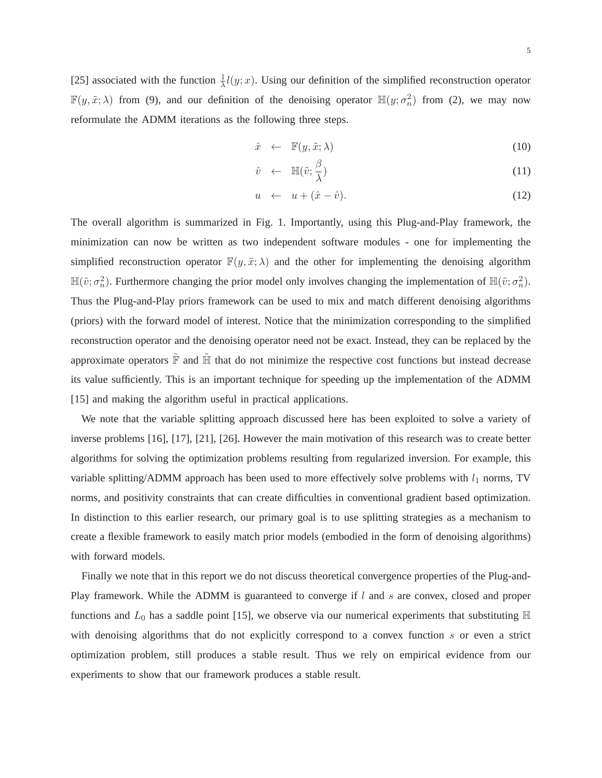[25] associated with the function  $\frac{1}{\lambda}l(y;x)$ . Using our definition of the simplified reconstruction operator  $\mathbb{F}(y, \tilde{x}; \lambda)$  from (9), and our definition of the denoising operator  $\mathbb{H}(y; \sigma_n^2)$  $\binom{2}{n}$  from (2), we may now reformulate the ADMM iterations as the following three steps.

$$
\hat{x} \leftarrow \mathbb{F}(y, \tilde{x}; \lambda) \tag{10}
$$

$$
\hat{v} \leftarrow \mathbb{H}(\tilde{v}; \frac{\beta}{\lambda}) \tag{11}
$$

$$
u \leftarrow u + (\hat{x} - \hat{v}). \tag{12}
$$

The overall algorithm is summarized in Fig. 1. Importantly, using this Plug-and-Play framework, the minimization can now be written as two independent software modules - one for implementing the simplified reconstruction operator  $\mathbb{F}(y, \tilde{x}; \lambda)$  and the other for implementing the denoising algorithm  $\mathbb{H}(\tilde{v};\sigma_n^2)$ <sup>2</sup>/<sub>n</sub>). Furthermore changing the prior model only involves changing the implementation of  $\mathbb{H}(\tilde{v}; \sigma_n^2)$  $\binom{2}{n}$ . Thus the Plug-and-Play priors framework can be used to mix and match different denoising algorithms (priors) with the forward model of interest. Notice that the minimization corresponding to the simplified reconstruction operator and the denoising operator need not be exact. Instead, they can be replaced by the approximate operators  $\tilde{F}$  and  $\tilde{H}$  that do not minimize the respective cost functions but instead decrease its value sufficiently. This is an important technique for speeding up the implementation of the ADMM [15] and making the algorithm useful in practical applications.

We note that the variable splitting approach discussed here has been exploited to solve a variety of inverse problems [16], [17], [21], [26]. However the main motivation of this research was to create better algorithms for solving the optimization problems resulting from regularized inversion. For example, this variable splitting/ADMM approach has been used to more effectively solve problems with  $l_1$  norms, TV norms, and positivity constraints that can create difficulties in conventional gradient based optimization. In distinction to this earlier research, our primary goal is to use splitting strategies as a mechanism to create a flexible framework to easily match prior models (embodied in the form of denoising algorithms) with forward models.

Finally we note that in this report we do not discuss theoretical convergence properties of the Plug-and-Play framework. While the ADMM is guaranteed to converge if l and s are convex, closed and proper functions and  $L_0$  has a saddle point [15], we observe via our numerical experiments that substituting  $\mathbb H$ with denoising algorithms that do not explicitly correspond to a convex function s or even a strict optimization problem, still produces a stable result. Thus we rely on empirical evidence from our experiments to show that our framework produces a stable result.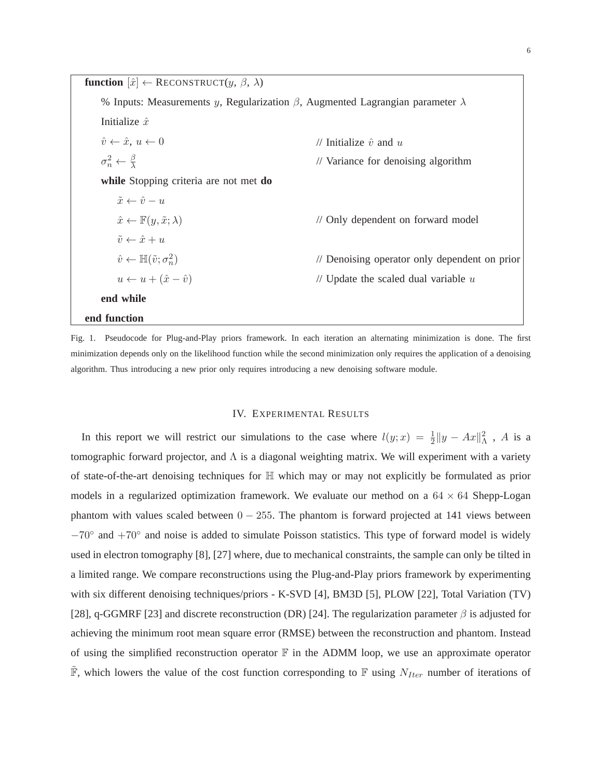**function**  $[\hat{x}] \leftarrow$  RECONSTRUCT $(y, \beta, \lambda)$ % Inputs: Measurements y, Regularization  $\beta$ , Augmented Lagrangian parameter  $\lambda$ Initialize  $\hat{x}$  $\hat{v} \leftarrow \hat{x}, u \leftarrow 0$  // Initialize  $\hat{v}$  and u  $\sigma_n^2 \leftarrow \frac{\beta}{\lambda}$ // Variance for denoising algorithm **while** Stopping criteria are not met **do**  $\tilde{x} \leftarrow \hat{v} - u$  $\hat{x} \leftarrow \mathbb{F}(y, \tilde{x}; \lambda)$  // Only dependent on forward model  $\tilde{v} \leftarrow \hat{x} + u$  $\hat{v} \leftarrow \mathbb{H}(\tilde{v}; \sigma_n^2)$ n ) // Denoising operator only dependent on prior  $u \leftarrow u + (\hat{x} - \hat{v})$  // Update the scaled dual variable u **end while end function**

Fig. 1. Pseudocode for Plug-and-Play priors framework. In each iteration an alternating minimization is done. The first minimization depends only on the likelihood function while the second minimization only requires the application of a denoising algorithm. Thus introducing a new prior only requires introducing a new denoising software module.

#### IV. EXPERIMENTAL RESULTS

In this report we will restrict our simulations to the case where  $l(y; x) = \frac{1}{2} ||y - Ax||^2$ , A is a tomographic forward projector, and  $\Lambda$  is a diagonal weighting matrix. We will experiment with a variety of state-of-the-art denoising techniques for  $\mathbb H$  which may or may not explicitly be formulated as prior models in a regularized optimization framework. We evaluate our method on a  $64 \times 64$  Shepp-Logan phantom with values scaled between  $0 - 255$ . The phantom is forward projected at 141 views between −70◦ and +70◦ and noise is added to simulate Poisson statistics. This type of forward model is widely used in electron tomography [8], [27] where, due to mechanical constraints, the sample can only be tilted in a limited range. We compare reconstructions using the Plug-and-Play priors framework by experimenting with six different denoising techniques/priors - K-SVD [4], BM3D [5], PLOW [22], Total Variation (TV) [28], q-GGMRF [23] and discrete reconstruction (DR) [24]. The regularization parameter  $\beta$  is adjusted for achieving the minimum root mean square error (RMSE) between the reconstruction and phantom. Instead of using the simplified reconstruction operator  $\mathbb F$  in the ADMM loop, we use an approximate operator  $\mathbb{F}$ , which lowers the value of the cost function corresponding to  $\mathbb{F}$  using  $N_{Iter}$  number of iterations of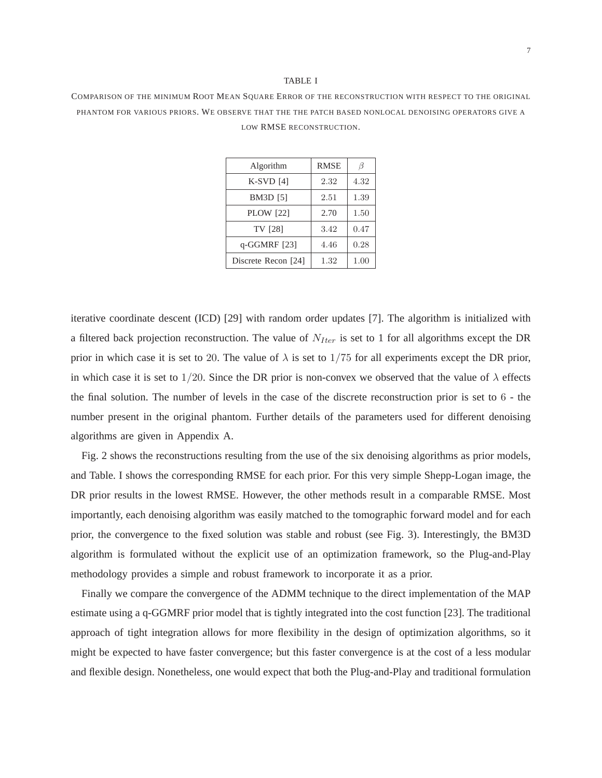#### TABLE I

COMPARISON OF THE MINIMUM ROOT MEAN SQUARE ERROR OF THE RECONSTRUCTION WITH RESPECT TO THE ORIGINAL PHANTOM FOR VARIOUS PRIORS. WE OBSERVE THAT THE THE PATCH BASED NONLOCAL DENOISING OPERATORS GIVE A LOW RMSE RECONSTRUCTION.

| Algorithm           | <b>RMSE</b> | ß    |
|---------------------|-------------|------|
| $K-SVD$ [4]         | 2.32        | 4.32 |
| <b>BM3D</b> [5]     | 2.51        | 1.39 |
| <b>PLOW</b> [22]    | 2.70        | 1.50 |
| TV [28]             | 3.42        | 0.47 |
| q-GGMRF [23]        | 4.46        | 0.28 |
| Discrete Recon [24] | 1.32        | 1.00 |
|                     |             |      |

iterative coordinate descent (ICD) [29] with random order updates [7]. The algorithm is initialized with a filtered back projection reconstruction. The value of  $N_{Iter}$  is set to 1 for all algorithms except the DR prior in which case it is set to 20. The value of  $\lambda$  is set to 1/75 for all experiments except the DR prior, in which case it is set to 1/20. Since the DR prior is non-convex we observed that the value of  $\lambda$  effects the final solution. The number of levels in the case of the discrete reconstruction prior is set to 6 - the number present in the original phantom. Further details of the parameters used for different denoising algorithms are given in Appendix A.

Fig. 2 shows the reconstructions resulting from the use of the six denoising algorithms as prior models, and Table. I shows the corresponding RMSE for each prior. For this very simple Shepp-Logan image, the DR prior results in the lowest RMSE. However, the other methods result in a comparable RMSE. Most importantly, each denoising algorithm was easily matched to the tomographic forward model and for each prior, the convergence to the fixed solution was stable and robust (see Fig. 3). Interestingly, the BM3D algorithm is formulated without the explicit use of an optimization framework, so the Plug-and-Play methodology provides a simple and robust framework to incorporate it as a prior.

Finally we compare the convergence of the ADMM technique to the direct implementation of the MAP estimate using a q-GGMRF prior model that is tightly integrated into the cost function [23]. The traditional approach of tight integration allows for more flexibility in the design of optimization algorithms, so it might be expected to have faster convergence; but this faster convergence is at the cost of a less modular and flexible design. Nonetheless, one would expect that both the Plug-and-Play and traditional formulation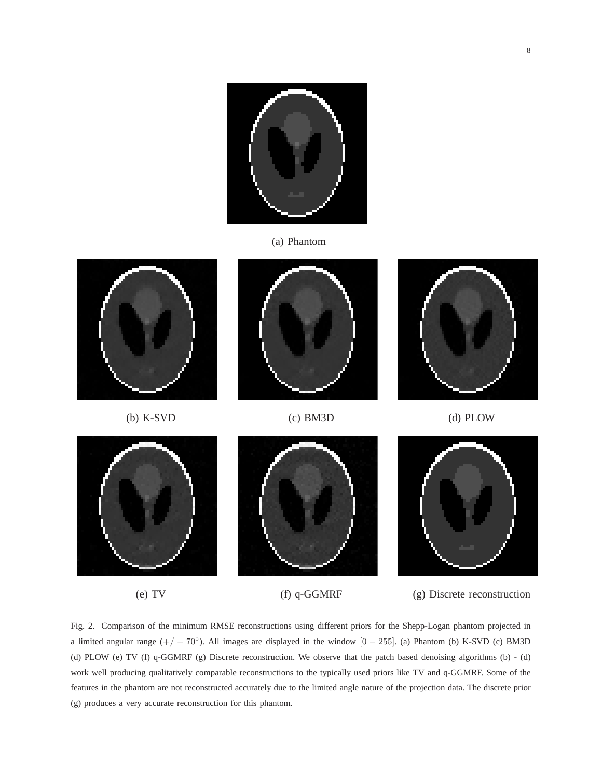

(a) Phantom





(b) K-SVD (c) BM3D (d) PLOW





(e) TV (f) q-GGMRF (g) Discrete reconstruction

Fig. 2. Comparison of the minimum RMSE reconstructions using different priors for the Shepp-Logan phantom projected in a limited angular range  $(+/-70^{\circ})$ . All images are displayed in the window [0 – 255]. (a) Phantom (b) K-SVD (c) BM3D (d) PLOW (e) TV (f) q-GGMRF (g) Discrete reconstruction. We observe that the patch based denoising algorithms (b) - (d) work well producing qualitatively comparable reconstructions to the typically used priors like TV and q-GGMRF. Some of the features in the phantom are not reconstructed accurately due to the limited angle nature of the projection data. The discrete prior (g) produces a very accurate reconstruction for this phantom.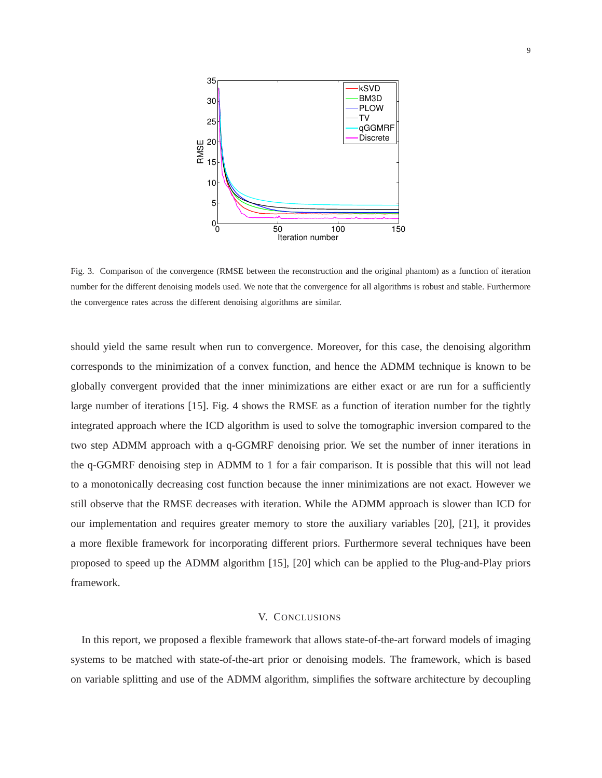

Fig. 3. Comparison of the convergence (RMSE between the reconstruction and the original phantom) as a function of iteration number for the different denoising models used. We note that the convergence for all algorithms is robust and stable. Furthermore the convergence rates across the different denoising algorithms are similar.

should yield the same result when run to convergence. Moreover, for this case, the denoising algorithm corresponds to the minimization of a convex function, and hence the ADMM technique is known to be globally convergent provided that the inner minimizations are either exact or are run for a sufficiently large number of iterations [15]. Fig. 4 shows the RMSE as a function of iteration number for the tightly integrated approach where the ICD algorithm is used to solve the tomographic inversion compared to the two step ADMM approach with a q-GGMRF denoising prior. We set the number of inner iterations in the q-GGMRF denoising step in ADMM to 1 for a fair comparison. It is possible that this will not lead to a monotonically decreasing cost function because the inner minimizations are not exact. However we still observe that the RMSE decreases with iteration. While the ADMM approach is slower than ICD for our implementation and requires greater memory to store the auxiliary variables [20], [21], it provides a more flexible framework for incorporating different priors. Furthermore several techniques have been proposed to speed up the ADMM algorithm [15], [20] which can be applied to the Plug-and-Play priors framework.

#### V. CONCLUSIONS

In this report, we proposed a flexible framework that allows state-of-the-art forward models of imaging systems to be matched with state-of-the-art prior or denoising models. The framework, which is based on variable splitting and use of the ADMM algorithm, simplifies the software architecture by decoupling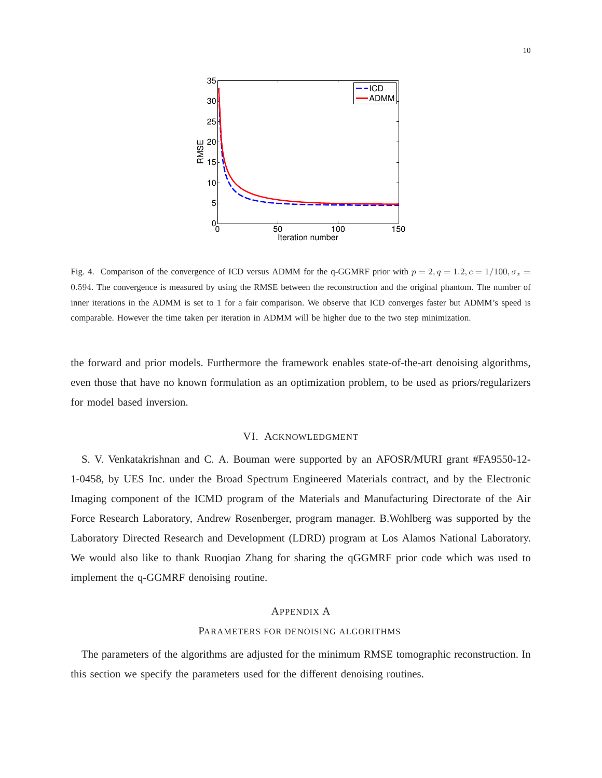

Fig. 4. Comparison of the convergence of ICD versus ADMM for the q-GGMRF prior with  $p = 2$ ,  $q = 1.2$ ,  $c = 1/100$ ,  $\sigma_x =$ 0.594. The convergence is measured by using the RMSE between the reconstruction and the original phantom. The number of inner iterations in the ADMM is set to 1 for a fair comparison. We observe that ICD converges faster but ADMM's speed is comparable. However the time taken per iteration in ADMM will be higher due to the two step minimization.

the forward and prior models. Furthermore the framework enables state-of-the-art denoising algorithms, even those that have no known formulation as an optimization problem, to be used as priors/regularizers for model based inversion.

#### VI. ACKNOWLEDGMENT

S. V. Venkatakrishnan and C. A. Bouman were supported by an AFOSR/MURI grant #FA9550-12- 1-0458, by UES Inc. under the Broad Spectrum Engineered Materials contract, and by the Electronic Imaging component of the ICMD program of the Materials and Manufacturing Directorate of the Air Force Research Laboratory, Andrew Rosenberger, program manager. B.Wohlberg was supported by the Laboratory Directed Research and Development (LDRD) program at Los Alamos National Laboratory. We would also like to thank Ruoqiao Zhang for sharing the qGGMRF prior code which was used to implement the q-GGMRF denoising routine.

#### APPENDIX A

#### PARAMETERS FOR DENOISING ALGORITHMS

The parameters of the algorithms are adjusted for the minimum RMSE tomographic reconstruction. In this section we specify the parameters used for the different denoising routines.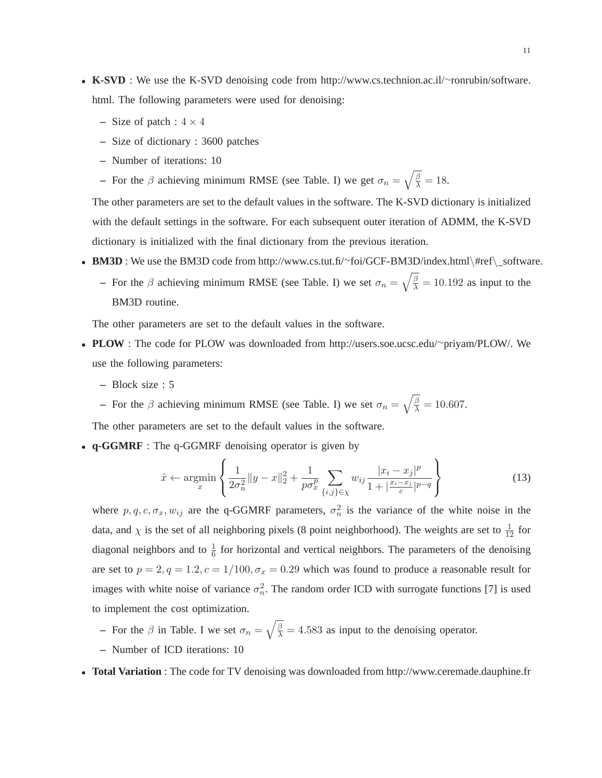- **K-SVD** : We use the K-SVD denoising code from http://www.cs.technion.ac.il/∼ronrubin/software. html. The following parameters were used for denoising:
	- **–** Size of patch :  $4 \times 4$
	- **–** Size of dictionary : 3600 patches
	- **–** Number of iterations: 10
	- **–** For the  $\beta$  achieving minimum RMSE (see Table. I) we get  $\sigma_n = \sqrt{\frac{\beta}{\lambda}} = 18$ .

The other parameters are set to the default values in the software. The K-SVD dictionary is initialized with the default settings in the software. For each subsequent outer iteration of ADMM, the K-SVD dictionary is initialized with the final dictionary from the previous iteration.

- **BM3D** : We use the BM3D code from http://www.cs.tut.fi/∼foi/GCF-BM3D/index.html\#ref\\_software.
	- **–** For the  $\beta$  achieving minimum RMSE (see Table. I) we set  $\sigma_n = \sqrt{\frac{\beta}{\lambda}} = 10.192$  as input to the BM3D routine.

The other parameters are set to the default values in the software.

- **PLOW** : The code for PLOW was downloaded from http://users.soe.ucsc.edu/∼priyam/PLOW/. We use the following parameters:
	- **–** Block size : 5
	- **–** For the  $\beta$  achieving minimum RMSE (see Table. I) we set  $\sigma_n = \sqrt{\frac{\beta}{\lambda}} = 10.607$ .

The other parameters are set to the default values in the software.

• **q-GGMRF** : The q-GGMRF denoising operator is given by

$$
\hat{x} \leftarrow \underset{x}{\text{argmin}} \left\{ \frac{1}{2\sigma_n^2} \|y - x\|_2^2 + \frac{1}{p\sigma_x^p} \sum_{\{i,j\} \in \chi} w_{ij} \frac{|x_i - x_j|^p}{1 + \left|\frac{x_i - x_j}{c}\right|^{p-q}} \right\} \tag{13}
$$

where  $p, q, c, \sigma_x, w_{ij}$  are the q-GGMRF parameters,  $\sigma_n^2$  $\frac{2}{n}$  is the variance of the white noise in the data, and  $\chi$  is the set of all neighboring pixels (8 point neighborhood). The weights are set to  $\frac{1}{12}$  for diagonal neighbors and to  $\frac{1}{6}$  for horizontal and vertical neighbors. The parameters of the denoising are set to  $p = 2, q = 1.2, c = 1/100, \sigma_x = 0.29$  which was found to produce a reasonable result for images with white noise of variance  $\sigma_n^2$  $n<sub>n</sub>$ . The random order ICD with surrogate functions [7] is used to implement the cost optimization.

- **–** For the  $\beta$  in Table. I we set  $\sigma_n = \sqrt{\frac{\beta}{\lambda}} = 4.583$  as input to the denoising operator.
- **–** Number of ICD iterations: 10

• **Total Variation** : The code for TV denoising was downloaded from http://www.ceremade.dauphine.fr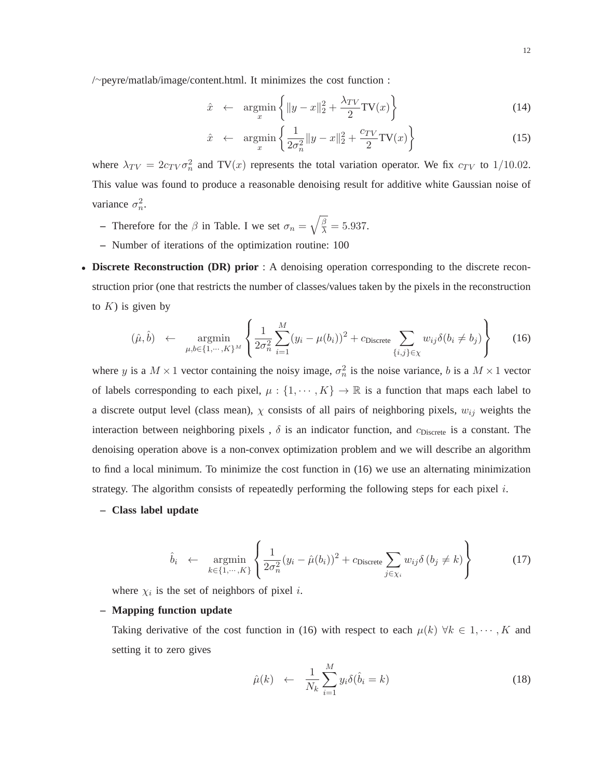/∼peyre/matlab/image/content.html. It minimizes the cost function :

$$
\hat{x} \leftarrow \underset{x}{\text{argmin}} \left\{ \|y - x\|_2^2 + \frac{\lambda_{TV}}{2} \text{TV}(x) \right\} \tag{14}
$$

$$
\hat{x} \leftarrow \underset{x}{\text{argmin}} \left\{ \frac{1}{2\sigma_n^2} \|y - x\|_2^2 + \frac{c_{TV}}{2} \text{TV}(x) \right\} \tag{15}
$$

where  $\lambda_{TV} = 2c_{TV}\sigma_n^2$  $n<sub>n</sub><sup>2</sup>$  and TV(x) represents the total variation operator. We fix  $c_{TV}$  to 1/10.02. This value was found to produce a reasonable denoising result for additive white Gaussian noise of variance  $\sigma_n^2$  $\frac{2}{n}$ .

- **–** Therefore for the  $\beta$  in Table. I we set  $\sigma_n = \sqrt{\frac{\beta}{\lambda}} = 5.937$ .
- **–** Number of iterations of the optimization routine: 100
- **Discrete Reconstruction (DR) prior** : A denoising operation corresponding to the discrete reconstruction prior (one that restricts the number of classes/values taken by the pixels in the reconstruction to  $K$ ) is given by

$$
(\hat{\mu}, \hat{b}) \leftarrow \underset{\mu, b \in \{1, \cdots, K\}^M}{\operatorname{argmin}} \left\{ \frac{1}{2\sigma_n^2} \sum_{i=1}^M (y_i - \mu(b_i))^2 + c_{\text{Discrete}} \sum_{\{i, j\} \in \chi} w_{ij} \delta(b_i \neq b_j) \right\} \tag{16}
$$

where y is a  $M \times 1$  vector containing the noisy image,  $\sigma_n^2$  $\frac{2}{n}$  is the noise variance, b is a  $M \times 1$  vector of labels corresponding to each pixel,  $\mu: \{1, \dots, K\} \to \mathbb{R}$  is a function that maps each label to a discrete output level (class mean),  $\chi$  consists of all pairs of neighboring pixels,  $w_{ij}$  weights the interaction between neighboring pixels,  $\delta$  is an indicator function, and  $c_{Discrete}$  is a constant. The denoising operation above is a non-convex optimization problem and we will describe an algorithm to find a local minimum. To minimize the cost function in (16) we use an alternating minimization strategy. The algorithm consists of repeatedly performing the following steps for each pixel  $i$ .

#### **– Class label update**

$$
\hat{b}_i \leftarrow \underset{k \in \{1, \cdots, K\}}{\operatorname{argmin}} \left\{ \frac{1}{2\sigma_n^2} (y_i - \hat{\mu}(b_i))^2 + c_{\text{Discrete}} \sum_{j \in \chi_i} w_{ij} \delta(b_j \neq k) \right\}
$$
(17)

where  $\chi_i$  is the set of neighbors of pixel *i*.

#### **– Mapping function update**

Taking derivative of the cost function in (16) with respect to each  $\mu(k)$   $\forall k \in 1, \dots, K$  and setting it to zero gives

$$
\hat{\mu}(k) \leftarrow \frac{1}{N_k} \sum_{i=1}^{M} y_i \delta(\hat{b}_i = k) \tag{18}
$$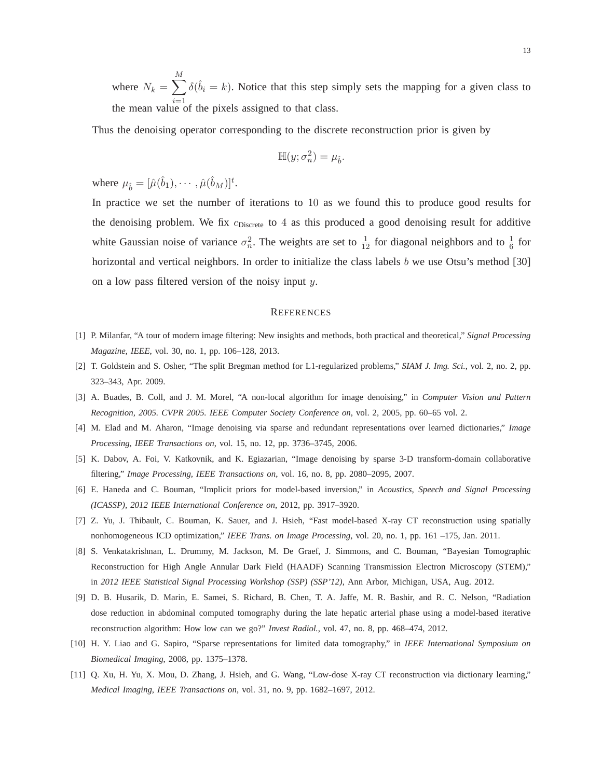where  $N_k = \sum$ M the mean value of the pixels assigned to that class.  $\delta(\hat{b}_i = k)$ . Notice that this step simply sets the mapping for a given class to

Thus the denoising operator corresponding to the discrete reconstruction prior is given by

$$
\mathbb{H}(y;\sigma_n^2)=\mu_{\hat{b}}
$$

.

where  $\mu_{\hat{b}} = [\hat{\mu}(\hat{b}_1), \cdots, \hat{\mu}(\hat{b}_M)]^t$ .

In practice we set the number of iterations to 10 as we found this to produce good results for the denoising problem. We fix  $c_{Discrete}$  to 4 as this produced a good denoising result for additive white Gaussian noise of variance  $\sigma_n^2$  $\frac{2}{n}$ . The weights are set to  $\frac{1}{12}$  for diagonal neighbors and to  $\frac{1}{6}$  for horizontal and vertical neighbors. In order to initialize the class labels b we use Otsu's method [30] on a low pass filtered version of the noisy input y.

#### **REFERENCES**

- [1] P. Milanfar, "A tour of modern image filtering: New insights and methods, both practical and theoretical," *Signal Processing Magazine, IEEE*, vol. 30, no. 1, pp. 106–128, 2013.
- [2] T. Goldstein and S. Osher, "The split Bregman method for L1-regularized problems," *SIAM J. Img. Sci.*, vol. 2, no. 2, pp. 323–343, Apr. 2009.
- [3] A. Buades, B. Coll, and J. M. Morel, "A non-local algorithm for image denoising," in *Computer Vision and Pattern Recognition, 2005. CVPR 2005. IEEE Computer Society Conference on*, vol. 2, 2005, pp. 60–65 vol. 2.
- [4] M. Elad and M. Aharon, "Image denoising via sparse and redundant representations over learned dictionaries," *Image Processing, IEEE Transactions on*, vol. 15, no. 12, pp. 3736–3745, 2006.
- [5] K. Dabov, A. Foi, V. Katkovnik, and K. Egiazarian, "Image denoising by sparse 3-D transform-domain collaborative filtering," *Image Processing, IEEE Transactions on*, vol. 16, no. 8, pp. 2080–2095, 2007.
- [6] E. Haneda and C. Bouman, "Implicit priors for model-based inversion," in *Acoustics, Speech and Signal Processing (ICASSP), 2012 IEEE International Conference on*, 2012, pp. 3917–3920.
- [7] Z. Yu, J. Thibault, C. Bouman, K. Sauer, and J. Hsieh, "Fast model-based X-ray CT reconstruction using spatially nonhomogeneous ICD optimization," *IEEE Trans. on Image Processing*, vol. 20, no. 1, pp. 161 –175, Jan. 2011.
- [8] S. Venkatakrishnan, L. Drummy, M. Jackson, M. De Graef, J. Simmons, and C. Bouman, "Bayesian Tomographic Reconstruction for High Angle Annular Dark Field (HAADF) Scanning Transmission Electron Microscopy (STEM)," in *2012 IEEE Statistical Signal Processing Workshop (SSP) (SSP'12)*, Ann Arbor, Michigan, USA, Aug. 2012.
- [9] D. B. Husarik, D. Marin, E. Samei, S. Richard, B. Chen, T. A. Jaffe, M. R. Bashir, and R. C. Nelson, "Radiation dose reduction in abdominal computed tomography during the late hepatic arterial phase using a model-based iterative reconstruction algorithm: How low can we go?" *Invest Radiol.*, vol. 47, no. 8, pp. 468–474, 2012.
- [10] H. Y. Liao and G. Sapiro, "Sparse representations for limited data tomography," in *IEEE International Symposium on Biomedical Imaging*, 2008, pp. 1375–1378.
- [11] Q. Xu, H. Yu, X. Mou, D. Zhang, J. Hsieh, and G. Wang, "Low-dose X-ray CT reconstruction via dictionary learning," *Medical Imaging, IEEE Transactions on*, vol. 31, no. 9, pp. 1682–1697, 2012.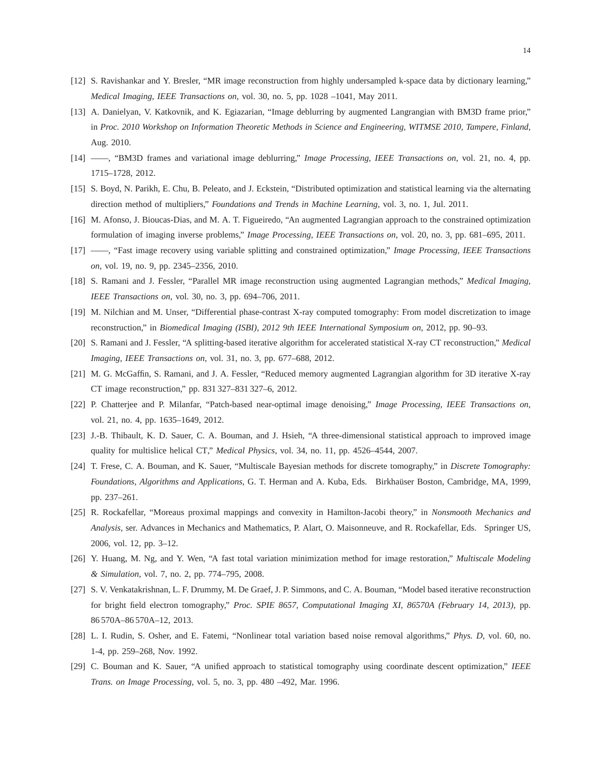- [12] S. Ravishankar and Y. Bresler, "MR image reconstruction from highly undersampled k-space data by dictionary learning," *Medical Imaging, IEEE Transactions on*, vol. 30, no. 5, pp. 1028 –1041, May 2011.
- [13] A. Danielyan, V. Katkovnik, and K. Egiazarian, "Image deblurring by augmented Langrangian with BM3D frame prior," in *Proc. 2010 Workshop on Information Theoretic Methods in Science and Engineering, WITMSE 2010, Tampere, Finland*, Aug. 2010.
- [14] ——, "BM3D frames and variational image deblurring," *Image Processing, IEEE Transactions on*, vol. 21, no. 4, pp. 1715–1728, 2012.
- [15] S. Boyd, N. Parikh, E. Chu, B. Peleato, and J. Eckstein, "Distributed optimization and statistical learning via the alternating direction method of multipliers," *Foundations and Trends in Machine Learning*, vol. 3, no. 1, Jul. 2011.
- [16] M. Afonso, J. Bioucas-Dias, and M. A. T. Figueiredo, "An augmented Lagrangian approach to the constrained optimization formulation of imaging inverse problems," *Image Processing, IEEE Transactions on*, vol. 20, no. 3, pp. 681–695, 2011.
- [17] ——, "Fast image recovery using variable splitting and constrained optimization," *Image Processing, IEEE Transactions on*, vol. 19, no. 9, pp. 2345–2356, 2010.
- [18] S. Ramani and J. Fessler, "Parallel MR image reconstruction using augmented Lagrangian methods," *Medical Imaging, IEEE Transactions on*, vol. 30, no. 3, pp. 694–706, 2011.
- [19] M. Nilchian and M. Unser, "Differential phase-contrast X-ray computed tomography: From model discretization to image reconstruction," in *Biomedical Imaging (ISBI), 2012 9th IEEE International Symposium on*, 2012, pp. 90–93.
- [20] S. Ramani and J. Fessler, "A splitting-based iterative algorithm for accelerated statistical X-ray CT reconstruction," *Medical Imaging, IEEE Transactions on*, vol. 31, no. 3, pp. 677–688, 2012.
- [21] M. G. McGaffin, S. Ramani, and J. A. Fessler, "Reduced memory augmented Lagrangian algorithm for 3D iterative X-ray CT image reconstruction," pp. 831 327–831 327–6, 2012.
- [22] P. Chatterjee and P. Milanfar, "Patch-based near-optimal image denoising," *Image Processing, IEEE Transactions on*, vol. 21, no. 4, pp. 1635–1649, 2012.
- [23] J.-B. Thibault, K. D. Sauer, C. A. Bouman, and J. Hsieh, "A three-dimensional statistical approach to improved image quality for multislice helical CT," *Medical Physics*, vol. 34, no. 11, pp. 4526–4544, 2007.
- [24] T. Frese, C. A. Bouman, and K. Sauer, "Multiscale Bayesian methods for discrete tomography," in *Discrete Tomography: Foundations, Algorithms and Applications*, G. T. Herman and A. Kuba, Eds. Birkhaüser Boston, Cambridge, MA, 1999, pp. 237–261.
- [25] R. Rockafellar, "Moreaus proximal mappings and convexity in Hamilton-Jacobi theory," in *Nonsmooth Mechanics and Analysis*, ser. Advances in Mechanics and Mathematics, P. Alart, O. Maisonneuve, and R. Rockafellar, Eds. Springer US, 2006, vol. 12, pp. 3–12.
- [26] Y. Huang, M. Ng, and Y. Wen, "A fast total variation minimization method for image restoration," *Multiscale Modeling & Simulation*, vol. 7, no. 2, pp. 774–795, 2008.
- [27] S. V. Venkatakrishnan, L. F. Drummy, M. De Graef, J. P. Simmons, and C. A. Bouman, "Model based iterative reconstruction for bright field electron tomography," *Proc. SPIE 8657, Computational Imaging XI, 86570A (February 14, 2013)*, pp. 86 570A–86 570A–12, 2013.
- [28] L. I. Rudin, S. Osher, and E. Fatemi, "Nonlinear total variation based noise removal algorithms," *Phys. D*, vol. 60, no. 1-4, pp. 259–268, Nov. 1992.
- [29] C. Bouman and K. Sauer, "A unified approach to statistical tomography using coordinate descent optimization," *IEEE Trans. on Image Processing*, vol. 5, no. 3, pp. 480 –492, Mar. 1996.